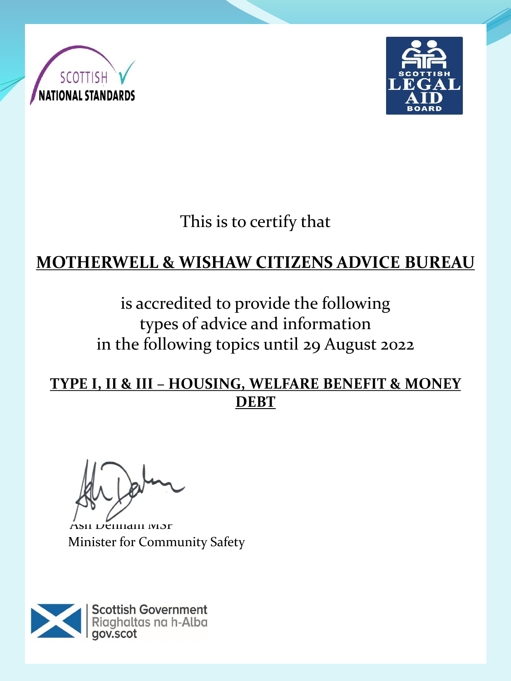



This is to certify that

## **MOTHERWELL & WISHAW CITIZENS ADVICE BUREAU**

is accredited to provide the following types of advice and information in the following topics until 29 August 2022

**TYPE I, II & III – HOUSING, WELFARE BENEFIT & MONEY DEBT**

Ash Denham MSP Minister for Community Safety

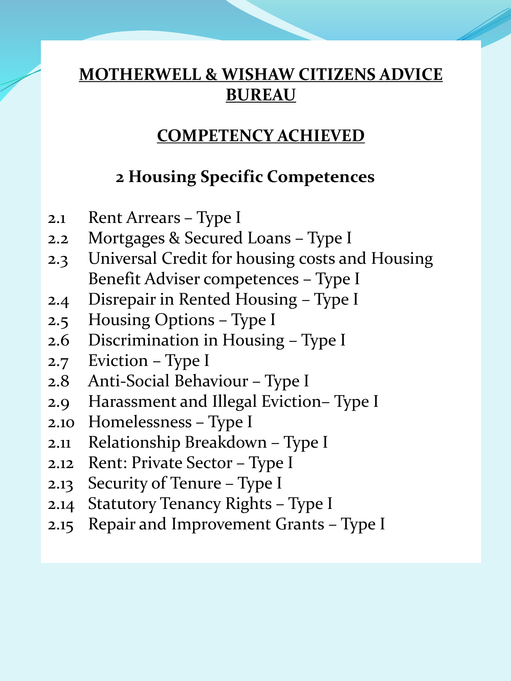### **COMPETENCY ACHIEVED**

### **2 Housing Specific Competences**

- 2.1 Rent Arrears Type I
- 2.2 Mortgages & Secured Loans Type I
- 2.3 Universal Credit for housing costs and Housing Benefit Adviser competences – Type I
- 2.4 Disrepair in Rented Housing Type I
- 2.5 Housing Options Type I
- 2.6 Discrimination in Housing Type I
- 2.7 Eviction Type I
- 2.8 Anti-Social Behaviour Type I
- 2.9 Harassment and Illegal Eviction– Type I
- 2.10 Homelessness Type I
- 2.11 Relationship Breakdown Type I
- 2.12 Rent: Private Sector Type I
- 2.13 Security of Tenure Type I
- 2.14 Statutory Tenancy Rights Type I
- 2.15 Repair and Improvement Grants Type I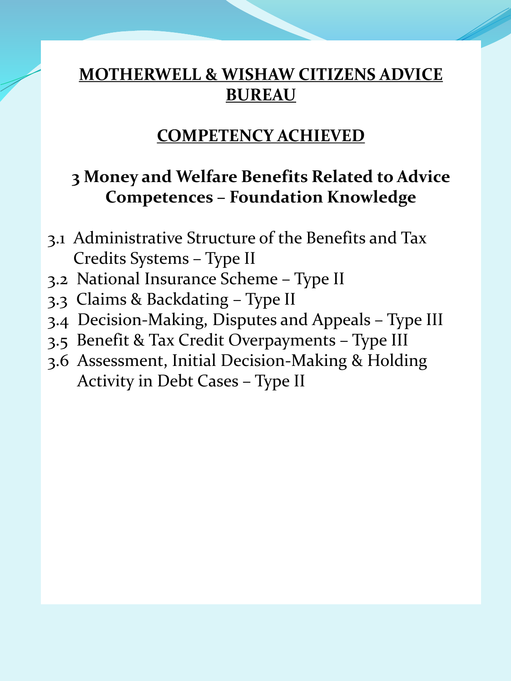#### **COMPETENCY ACHIEVED**

#### **3 Money and Welfare Benefits Related to Advice Competences – Foundation Knowledge**

- 3.1 Administrative Structure of the Benefits and Tax Credits Systems – Type II
- 3.2 National Insurance Scheme Type II
- 3.3 Claims & Backdating Type II
- 3.4 Decision-Making, Disputes and Appeals Type III
- 3.5 Benefit & Tax Credit Overpayments Type III
- 3.6 Assessment, Initial Decision-Making & Holding Activity in Debt Cases – Type II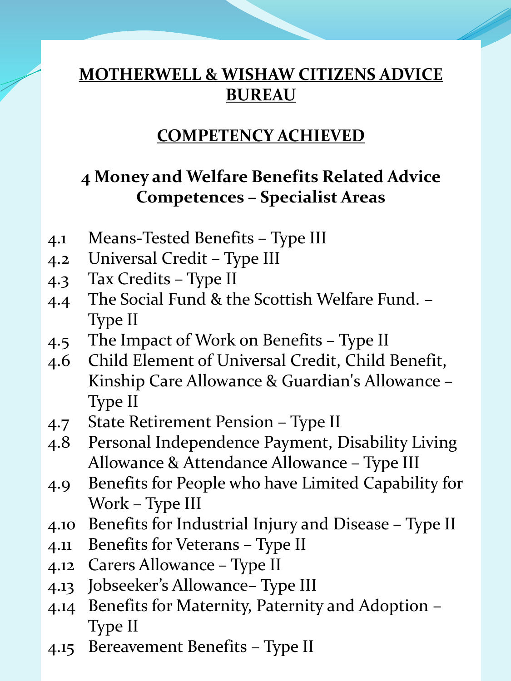#### **COMPETENCY ACHIEVED**

## **4 Money and Welfare Benefits Related Advice Competences – Specialist Areas**

- 4.1 Means-Tested Benefits Type III
- 4.2 Universal Credit Type III
- 4.3 Tax Credits Type II
- 4.4 The Social Fund & the Scottish Welfare Fund. Type II
- 4.5 The Impact of Work on Benefits Type II
- 4.6 Child Element of Universal Credit, Child Benefit, Kinship Care Allowance & Guardian's Allowance – Type II
- 4.7 State Retirement Pension Type II
- 4.8 Personal Independence Payment, Disability Living Allowance & Attendance Allowance – Type III
- 4.9 Benefits for People who have Limited Capability for Work – Type III
- 4.10 Benefits for Industrial Injury and Disease Type II
- 4.11 Benefits for Veterans Type II
- 4.12 Carers Allowance Type II
- 4.13 Jobseeker's Allowance– Type III
- 4.14 Benefits for Maternity, Paternity and Adoption Type II
- 4.15 Bereavement Benefits Type II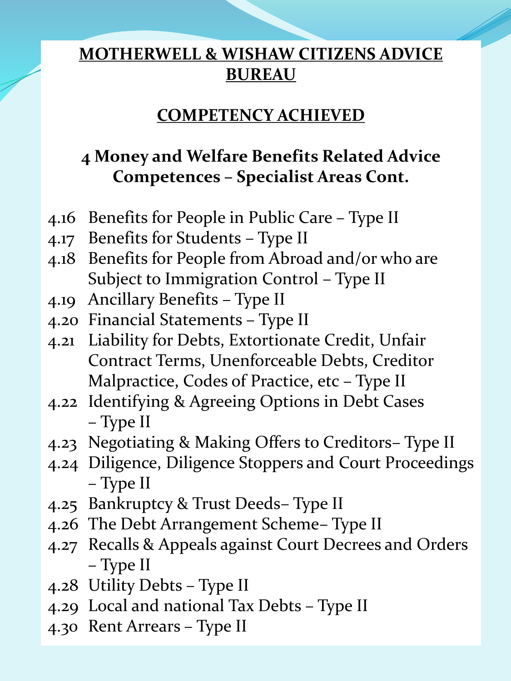#### **COMPETENCY ACHIEVED**

## **4 Money and Welfare Benefits Related Advice Competences – Specialist Areas Cont.**

- 4.16 Benefits for People in Public Care Type II
- 4.17 Benefits for Students Type II
- 4.18 Benefits for People from Abroad and/or who are Subject to Immigration Control – Type II
- 4.19 Ancillary Benefits Type II
- 4.20 Financial Statements Type II
- 4.21 Liability for Debts, Extortionate Credit, Unfair Contract Terms, Unenforceable Debts, Creditor Malpractice, Codes of Practice, etc – Type II
- 4.22 Identifying & Agreeing Options in Debt Cases – Type II
- 4.23 Negotiating & Making Offers to Creditors– Type II
- 4.24 Diligence, Diligence Stoppers and Court Proceedings – Type II
- 4.25 Bankruptcy & Trust Deeds– Type II
- 4.26 The Debt Arrangement Scheme– Type II
- 4.27 Recalls & Appeals against Court Decrees and Orders – Type II
- 4.28 Utility Debts Type II
- 4.29 Local and national Tax Debts Type II
- 4.30 Rent Arrears Type II